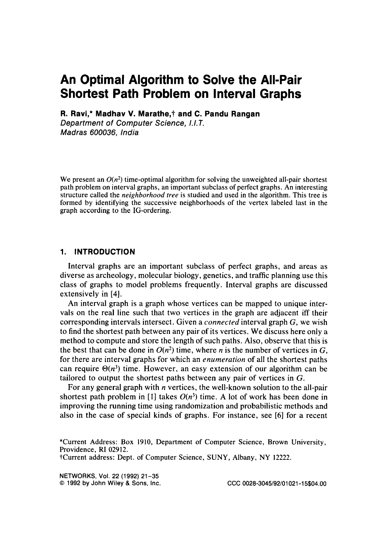# **An Optimal Algorithm to Solve the All-Pair Shortest Path Problem on Interval Graphs**

**R. Ravi,\* Madhav V. Marathe,? and C. Pandu Rangan** 

*Department of Computer Science, 1.1.7. Madras 600036, India* 

We present an  $O(n^2)$  time-optimal algorithm for solving the unweighted all-pair shortest path problem on interval graphs, an important subclass of perfect graphs. An interesting structure called the *neighborhood tree* is studied and used in the algorithm. This tree is formed by identifying the successive neighborhoods of the vertex labeled last in the graph according to the IG-ordering.

# **1. INTRODUCTION**

Interval graphs are an important subclass of perfect graphs, and areas as diverse as archeology, molecular biology, genetics, and traffic planning use this class of graphs to model problems frequently. Interval graphs are discussed extensively in **[4].** 

An interval graph is a graph whose vertices can be mapped to unique intervals on the real line such that two vertices in the graph are adjacent iff their corresponding intervals intersect. Given a *connected* interval graph G, we wish to find the shortest path between any pair of its vertices. We discuss here only a method to compute and store the length of such paths. Also, observe that this is the best that can be done in  $O(n^2)$  time, where *n* is the number of vertices in G, for there are interval graphs for which an *enumeration* of all the shortest paths can require  $\Theta(n^3)$  time. However, an easy extension of our algorithm can be tailored to output the shortest paths between any pair of vertices in G.

For any general graph with  $n$  vertices, the well-known solution to the all-pair shortest path problem in [1] takes  $O(n^3)$  time. A lot of work has been done in improving the running time using randomization and probabilistic methods and also in the case of special kinds of graphs. For instance, see [6] for a recent

\*Current Address: Box **1910,** Department of Computer Science, Brown University, Providence, RI **02912.**  tCurrent address: Dept. of Computer Science, SUNY, Albany, NY **12222.** 

NETWORKS, **VOI.** 22 (1992) 21-35 *0* 1992 by John **Wiley** & **Sons,** Inc. **CCC 0028-3045/92/01021-15\$04.00**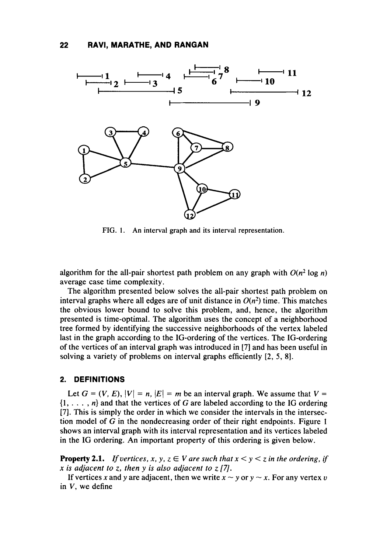

**FIG. 1.** An interval graph and its interval representation.

algorithm for the all-pair shortest path problem on any graph with  $O(n^2 \log n)$ average case time complexity.

The algorithm presented below solves the all-pair shortest path problem on interval graphs where all edges are of unit distance in  $O(n^2)$  time. This matches the obvious lower bound **to** solve this problem, and, hence, the algorithm presented is time-optimal. The algorithm uses the concept of a neighborhood tree formed by identifying the successive neighborhoods of the vertex labeled last in the graph according to the IG-ordering of the vertices. The IG-ordering of the vertices of an interval graph was introduced in **[7]** and has been useful in solving a variety of problems on interval graphs efficiently [2, *5,* **81.** 

#### **2. DEFINITIONS**

Let  $G = (V, E), |V| = n, |E| = m$  be an interval graph. We assume that  $V =$  $\{1, \ldots, n\}$  and that the vertices of G are labeled according to the IG ordering [7]. This is simply the order in which we consider the intervals in the intersection model of G in the nondecreasing order of their right endpoints. Figure **1**  shows an interval graph with its interval representation and its vertices labeled in the IG ordering. An important property of this ordering is given below.

**Property 2.1.** *If vertices, x, y, z*  $\in$  *V* are such that  $x < y < z$  in the ordering, if *x is adjacent to z, then y is also adjacent to* z **[7/.** 

If vertices x and y are adjacent, then we write  $x \sim y$  or  $y \sim x$ . For any vertex v in V, we define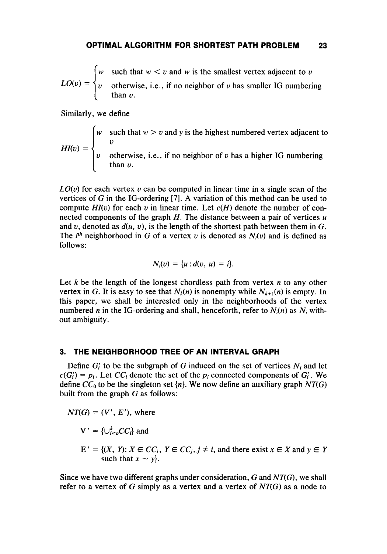$$
LO(v) = \begin{cases} w & \text{such that } w < v \text{ and } w \text{ is the smallest vertex adjacent to } v \\ v & \text{otherwise, i.e., if no neighbor of } v \text{ has smaller IG numbering} \\ \text{than } v. \end{cases}
$$

Similarly, we define

w such that  $w > v$  and y is the highest numbered vertex adjacent to otherwise, i.e., if no neighbor of *u* has a higher IG numbering than *u. U*   $H I(v) = \begin{cases} v \end{cases}$ 

*LO(u)* for each vertex *u* can be computed in linear time in a single scan of the vertices of G in the IG-ordering **[7].** A variation of this method can be used to compute  $HI(v)$  for each v in linear time. Let  $c(H)$  denote the number of connected components of the graph H. The distance between a pair of vertices *<sup>u</sup>* and *v*, denoted as  $d(u, v)$ , is the length of the shortest path between them in G. The  $i^{th}$  neighborhood in G of a vertex v is denoted as  $N_i(v)$  and is defined as follows:

$$
N_i(v) = \{u : d(v, u) = i\}.
$$

Let *k* be the length of the longest chordless path from vertex *n* to any other vertex in G. It is easy to see that  $N_k(n)$  is nonempty while  $N_{k+1}(n)$  is empty. In this paper, we shall be interested only in the neighborhoods of the vertex numbered *n* in the IG-ordering and shall, henceforth, refer to  $N_i(n)$  as  $N_i$  without ambiguity.

# **3. THE NEIGHBORHOOD TREE OF AN INTERVAL GRAPH**

Define  $G_i'$  to be the subgraph of G induced on the set of vertices  $N_i$  and let  $c(G_i') = p_i$ . Let  $CC_i$  denote the set of the  $p_i$  connected components of  $G_i'$ . We define  $CC_0$  to be the singleton set  $\{n\}$ . We now define an auxiliary graph  $NT(G)$ built from the graph  $G$  as follows:

$$
NT(G) = (V', E')
$$
, where

 $V' = \{ \bigcup_{i=0}^k CC_i \}$  and

 $E' = \{(X, Y): X \in CC_i, Y \in CC_j, j \neq i, \text{ and there exist } x \in X \text{ and } y \in Y \text{ such that } x \sim y\}.$ 

Since we have two different graphs under consideration, G and *NT(G),* we shall refer to a vertex of G simply as a vertex and a vertex of *NT(G)* as a node to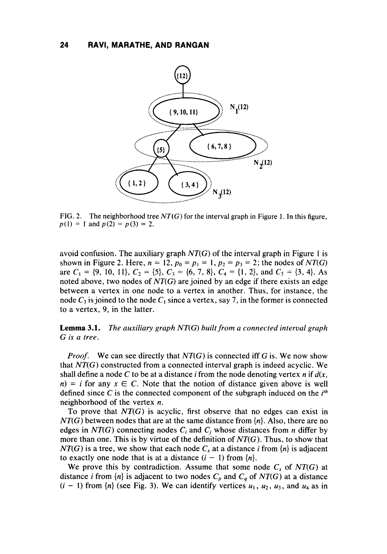

**FIG. 2. The neighborhood tree** *NT(G)* **for the interval graph in Figure 1. In this figure,**   $p(1) = 1$  and  $p(2) = p(3) = 2$ .

avoid confusion. The auxiliary graph  $NT(G)$  of the interval graph in Figure 1 is shown in Figure 2. Here,  $n = 12$ ,  $p_0 = p_1 = 1$ ,  $p_2 = p_3 = 2$ ; the nodes of  $NT(G)$ are  $C_1 = \{9, 10, 11\}, C_2 = \{5\}, C_3 = \{6, 7, 8\}, C_4 = \{1, 2\}, \text{ and } C_5 = \{3, 4\}.$  As noted above, two nodes **of** *NT(G)* are joined by an edge if there exists an edge between a vertex in one node to a vertex in another. Thus, for instance, the node  $C_3$  is joined to the node  $C_1$  since a vertex, say 7, in the former is connected to a vertex, 9, in the latter.

#### **Lemma 3.1.**  *G is a tree. The auxiliary graph NT(G) built from a connected interval graph*

*Proof.* We can see directly that *NT(G)* is connected iff G is. We now show that *NT(G)* constructed from a connected interval graph **is** indeed acyclic. We shall define a node *C* to be at a distance *i* from the node denoting vertex n if *d(x,*   $n = i$  for any  $x \in C$ . Note that the notion of distance given above is well defined since *C* is the connected component of the subgraph induced on the *ifh*  neighborhood of the vertex *n.* 

To prove that *NT(G)* is acyclic, first observe that no edges can exist in *NT(G)* between nodes that are at the same distance from *{n}.* Also, there are no edges in  $NT(G)$  connecting nodes  $C_i$  and  $C_j$  whose distances from *n* differ by more than one. This is by virtue of the definition of *NT(G).* Thus, to show that *NT(G)* is a tree, we show that each node  $C_x$  at a distance *i* from  $\{n\}$  is adjacent to exactly one node that is at a distance  $(i - 1)$  from  $\{n\}$ .

We prove this by contradiction. Assume that some node  $C_x$  of  $NT(G)$  at distance *i* from  $\{n\}$  is adjacent to two nodes  $C_p$  and  $C_q$  of  $NT(G)$  at a distance  $(i - 1)$  from  $\{n\}$  (see Fig. 3). We can identify vertices  $u_1, u_2, u_3$ , and  $u_4$  as in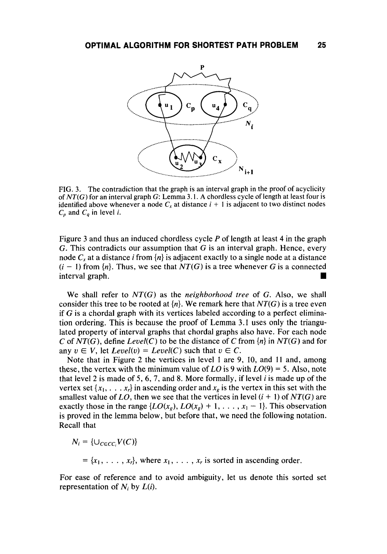

**FIG. 3. The contradiction that the graph is an interval graph in the proof of acyclicity of** *NT(G)* **for an interval graph G: Lemma 3.1. A chordless cycle of length at least four is identified above whenever a node**  $C_x$  **at distance**  $i + 1$  **is adjacent to two distinct nodes**  $C_p$  and  $C_q$  in level *i*.

Figure **3** and thus an induced chordless cycle *P* of length at least **4** in the graph G. This contradicts our assumption that G **is** an interval graph. Hence, every node  $C_x$  at a distance *i* from  $\{n\}$  is adjacent exactly to a single node at a distance  $(i - 1)$  from  $\{n\}$ . Thus, we see that  $NT(G)$  is a tree whenever G is a connected interval graph.

We shall refer to *NT(G)* as the *neighborhood free* of *G.* Also, we shall consider this tree to be rooted at  $\{n\}$ . We remark here that  $NT(G)$  is a tree even if  $G$  is a chordal graph with its vertices labeled according to a perfect elimination ordering. This is because the proof of Lemma **3.1** uses only the triangulated property of interval graphs that chordal graphs also have. For each node *C* of *NT(G),* define *Leuel(C)* to be the distance of *C* from *{n}* in *NT(G)* and for any  $v \in V$ , let *Level(v)* = *Level(C)* such that  $v \in C$ .

Note that in Figure 2 the vertices in level 1 are *9,* 10, and 11 and, among these, the vertex with the minimum value of *LO* is 9 with  $LO(9) = 5$ . Also, note that level 2 is made of *5,* **6, 7,** and **8.** More formally, if level i is made up of the vertex set  $\{x_1, \ldots, x_r\}$  in ascending order and  $x_g$  is the vertex in this set with the smallest value of *LO*, then we see that the vertices in level  $(i + 1)$  of  $NT(G)$  are exactly those in the range  $\{LO(x_g), LO(x_g) + 1, \ldots, x_1 - 1\}$ . This observation is proved in the lemma below, but before that, we need the following notation. Recall that

$$
N_i = \{ \cup_{C \in CC_i} V(C) \}
$$

 $= {x_1, \ldots, x_r}$ , where  $x_1, \ldots, x_r$  is sorted in ascending order.

For ease of reference and to avoid ambiguity, let **us** denote this sorted set representation of  $N_i$  by  $L(i)$ .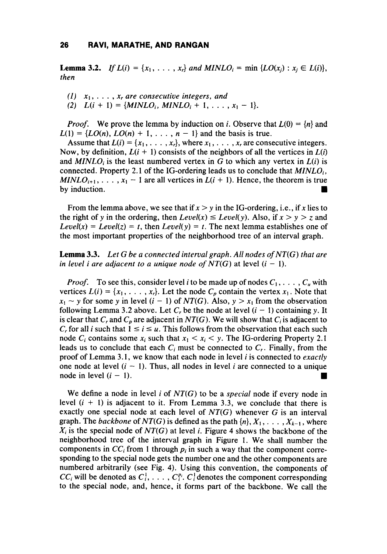**Lemma 3.2.** *If*  $L(i) = \{x_1, \ldots, x_r\}$  *and MINLO<sub>i</sub>* = min  $\{LO(x_i) : x_i \in L(i)\}$ , *then* 

*(I) xI,* . . . , *x, are consecutive integers, and*  (2)  $L(i + 1) = \{MINLO_i, MINLO_i + 1, \ldots, x_1 - 1\}.$ 

*Proof.* We prove the lemma by induction on *i*. Observe that  $L(0) = \{n\}$  and  $L(1) = {LO(n), LO(n) + 1, ..., n - 1}$  and the basis is true.

Assume that  $L(i) = \{x_1, \ldots, x_r\}$ , where  $x_1, \ldots, x_r$  are consecutive integers. Now, by definition,  $L(i + 1)$  consists of the neighbors of all the vertices in  $L(i)$ and  $MINLO_i$  is the least numbered vertex in G to which any vertex in  $L(i)$  is connected. Property 2.1 of the IG-ordering leads us to conclude that  $MINLO_i$ , *MINLO*<sub>i+1</sub>, ...,  $x_1 - 1$  are all vertices in  $L(i + 1)$ . Hence, the theorem is true by induction.

From the lemma above, we see that if  $x > y$  in the IG-ordering, i.e., if x lies to the right of y in the ordering, then  $Level(x) \le Level(y)$ . Also, if  $x > y > z$  and *Level(x)* = *Level(z)* = *t*, then *Level(y)* = *t*. The next lemma establishes one of the most important properties of the neighborhood tree of an interval graph.

**Lemma 3.3.** *Let G be a connected interval graph. All nodes of NT(G) that are in level i are adjacent to a unique node of NT(G)* at level  $(i - 1)$ .

*Proof.* To see this, consider level *i* to be made up of nodes  $C_1, \ldots, C_u$  with vertices  $L(i) = \{x_1, \ldots, x_r\}$ . Let the node  $C_p$  contain the vertex  $x_1$ . Note that  $x_1 \sim y$  for some y in level  $(i - 1)$  of  $NT(G)$ . Also,  $y > x_1$  from the observation following Lemma 3.2 above. Let *C<sub>r</sub>* be the node at level  $(i - 1)$  containing y. It is clear that *C<sub>r</sub>* and *C<sub>p</sub>* are adjacent in *NT(G)*. We will show that *C<sub>i</sub>* is adjacent to *C<sub>r</sub>* for all *i* such that  $1 \le i \le u$ . is clear that  $C_r$  and  $C_p$  are adjacent in  $NT(G)$ . We will show that  $C_i$  is adjacent to *C<sub>r</sub>* for all *i* such that  $1 \le i \le u$ . This follows from the observation that each such node *C<sub>i</sub>* contains some  $x_i$  such that  $x_1 < x_i < y$ . The IG-ordering Property 2.1 leads us to conclude that each  $C_i$  must be connected to  $C_i$ . Finally, from the proof of Lemma 3.1, we know that each node in level i is connected to *exactly*  one node at level  $(i - 1)$ . Thus, all nodes in level *i* are connected to a unique node in level  $(i - 1)$ .

We define a node in level *i* of *NT(G)* to be a *special* node if every node in level  $(i + 1)$  is adjacent to it. From Lemma 3.3, we conclude that there is exactly one special node at each level of *NT(G)* whenever G is an interval graph. The *backbone* of  $NT(G)$  is defined as the path  $\{n\}, X_1, \ldots, X_{k-1}$ , where *Xi* is the special node of *NT(G)* at level *i.* Figure *4* shows the backbone of the neighborhood tree of the interval graph in Figure 1. We shall number the components in  $CC_i$  from 1 through  $p_i$  in such a way that the component corresponding to the special node gets the number one and the other components are numbered arbitrarily (see Fig. **4).** Using this convention, the components of  $CC_i$  will be denoted as  $C_i^1, \ldots, C_i^p$ .  $C_i^1$  denotes the component corresponding to the special node, and, hence, it forms part of the backbone. We call the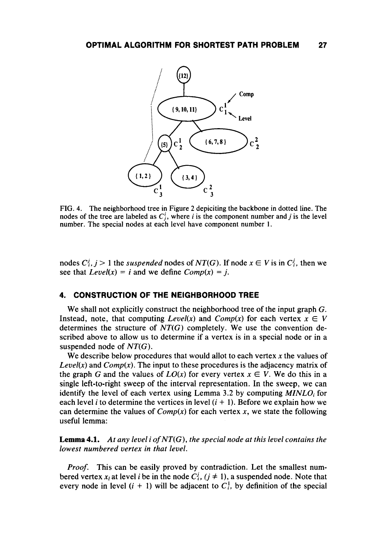

FIG. **4.** The neighborhood tree in Figure 2 depiciting the backbone in dotted line. The nodes of the tree are labeled as  $C_i^i$ , where *i* is the component number and *j* is the level number. The special nodes at each level have component number **1.** 

nodes  $C_i^j$ ,  $j > 1$  the *suspended* nodes of  $NT(G)$ . If node  $x \in V$  is in  $C_i^j$ , then we see that  $Level(x) = i$  and we define  $Comp(x) = j$ .

# **4. CONSTRUCTION OF THE NEIGHBORHOOD TREE**

We shall not explicitly construct the neighborhood tree of the input graph *G.*  Instead, note, that computing *Level(x)* and *Comp(x)* for each vertex  $x \in V$ determines the structure of  $NT(G)$  completely. We use the convention described above to allow us to determine if a vertex is in a special node or in a suspended node of *NT(G).* 

We describe below procedures that would allot to each vertex **x** the values of *Level(x)* and *Comp(x)*. The input to these procedures is the adjacency matrix of the graph *G* and the values of  $LO(x)$  for every vertex  $x \in V$ . We do this in a single left-to-right sweep of the interval representation. In the sweep, we can identify the level of each vertex using Lemma 3.2 by computing *MINLO<sub>i</sub>* for each level *i* to determine the vertices in level  $(i + 1)$ . Before we explain how we can determine the values of  $Comp(x)$  for each vertex x, we state the following useful lemma:

**Lemma 4.1.** *At any level i* of *NT(G), the special node at this level contains the lowest numbered vertex in that level.* 

*Proof.* This can be easily proved by contradiction. Let the smallest numbered vertex  $x_i$  at level *i* be in the node  $C_i^j$ ,  $(j \neq 1)$ , a suspended node. Note that every node in level  $(i + 1)$  will be adjacent to  $C_i^{\dagger}$ , by definition of the special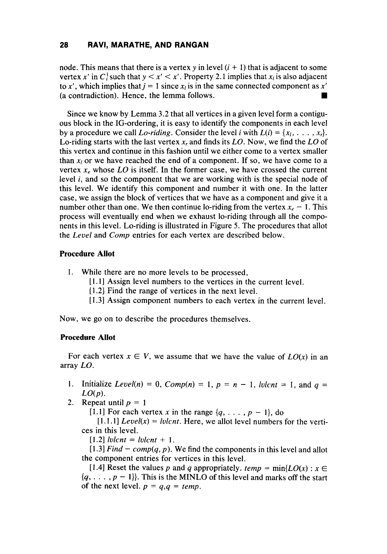# **28 RAW, MARATHE, AND RANGAN**

node. This means that there is a vertex  $y$  in level  $(i + 1)$  that is adjacent to some vertex x' in C<sub>i</sub> such that  $y < x' < x'$ . Property 2.1 implies that  $x_i$  is also adjacent to x', which implies that  $j = 1$  since  $x_i$  is in the same connected component as  $x'$ (a contradiction). Hence, the lemma follows. **rn** 

Since we know by Lemma 3.2 that all vertices in a given level form a contiguous block in the IG-ordering, it is easy to identify the components in each level by a procedure we call *Lo-riding*. Consider the level *i* with  $L(i) = \{x_1, \ldots, x_r\}$ . Lo-riding starts with the last vertex **x,** and finds its *LO.* Now, we find the LO of this vertex and continue in this fashion until we either come to a vertex smaller than  $x_i$  or we have reached the end of a component. If so, we have come to a vertex  $x_e$  whose LO is itself. In the former case, we have crossed the current level *i,* and so the component that we are working with is the special node of this level. We identify this component and number it with one. In the latter case, we assign the block of vertices that we have as a component and give it a number other than one. We then continue lo-riding from the vertex  $x_e - 1$ . This process will eventually end when we exhaust lo-riding through all the components in this level. Lo-riding is illustrated in Figure 5. The procedures that allot the *Leuel* and *Comp* entries for each vertex are described below.

# **Procedure Allot**

- 1. While there are no more levels to be processed,
	- [1.1] Assign level numbers to the vertices in the current level.
	- [ 1.21 Find the range of vertices in the next level.
	- [1.3] Assign component numbers to each vertex in the current level.

Now, we go on to describe the procedures themselves.

#### **Procedure Allot**

For each vertex  $x \in V$ , we assume that we have the value of  $LO(x)$  in an array LO.

- **1.** Initialize *Level(n)* = 0,  $Comp(n) = 1$ ,  $p = n 1$ , *lulcnt* = 1, and  $q =$  $LO(p)$ .
- 2. Repeat until  $p = 1$

[1.1] For each vertex x in the range  $\{q, \ldots, p-1\}$ , do

 $[1.1.1] \text{Level}(x) = \text{lulcnt}$ . Here, we allot level numbers for the vertices in this level.

[1.2]  $lvlcnt = lvlcnt + 1$ .

[1.3] *Find – comp* $(q, p)$ . We find the components in this level and allot the component entries for vertices in this level.

[1.4] Reset the values p and q appropriately.  $temp = min\{LO(x) : x \in$  $\{q, \ldots, p-1\}$ . This is the MINLO of this level and marks off the start of the next level.  $p = q, q = temp$ .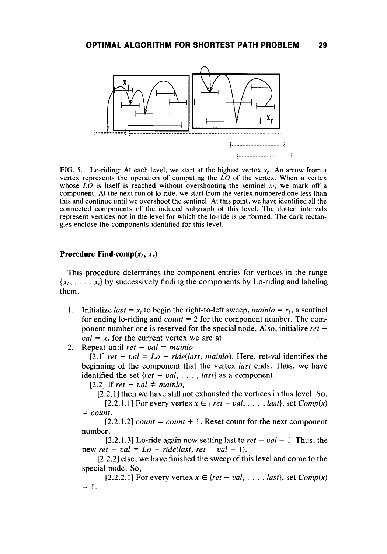

**FIG. 5.** Lo-riding: At each level, we start at the highest vertex  $x_r$ . An arrow from a vertex represents the operation of computing the *LO* of the vertex. When a vertex whose *LO* is itself is reached without overshooting the sentinel  $x_i$ , we mark off a component. At the next run of lo-ride, we start from the vertex numbered one less than this and continue until we overshoot the sentinel. At this point, we have identified all the connected components of the induced subgraph of this level. The dotted intervals represent vertices not in the level for which the lo-ride is performed. The dark rectangles enclose the components identified for this level.

#### **Procedure Find-comp(x,, x,)**

This procedure determines the component entries for vertices in the range  $\{x_1, \ldots, x_r\}$  by successively finding the components by Lo-riding and labeling them.

- **1.** Initialize *last* =  $x_r$  to begin the right-to-left sweep, *mainlo* =  $x_l$ , a sentinel for ending lo-riding and *count* = 2 for the component number. The component number one is reserved for the special node. Also, initialize *ret* –  $val = x_r$ , for the current vertex we are at.
- Repeat until  $ret val = main$ 2.

 $[2.1]$  *ret* – *val* =  $Lo$  – *ride(last, mainlo).* Here, ret-val identifies the beginning of the component that the vertex *last* ends. Thus, we have identified the set  $\{ret - val, \ldots, last\}$  as a component.

 $[2.2]$  If *ret* – *val*  $\neq$  *mainlo*,

[2.2.1] then we have still not exhausted the vertices in this level. *So,* 

[2.2.1.1] For every vertex  $x \in \{ret - val, \ldots, last\}$ , set  $Comp(x)$  $=$  *count.* 

number.  $[2.2.1.2]$  *count = count + 1.* Reset count for the next component

new  $ret - val = Lo - ride(last, ret - val - 1)$ . [2.2.1.3] Lo-ride again now setting last to  $ret - val - 1$ . Thus, the

special node. *So,*  [2.2.2] else, we have finished the sweep of this level and come to the

 $= 1.$ [2.2.2.1] For every vertex  $x \in \{ret - val, \ldots, last\}$ , set  $Comp(x)$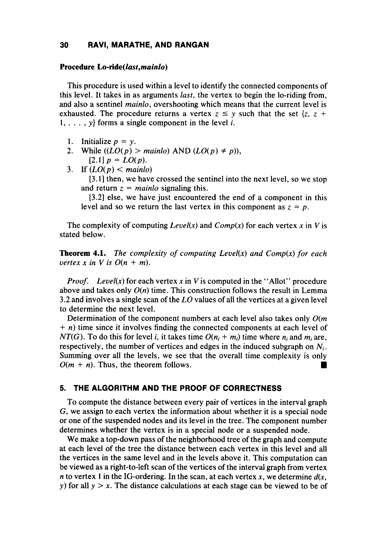# **30 RAW, MARATHE, AND RANGAN**

#### **Procedure Lo-ride(lusf,mainlo)**

This procedure is used within a level to identify the connected components of this level. It takes in as arguments *last,* the vertex to begin the lo-riding from, and also a sentinel *mainlo,* overshooting which means that the current level is exhausted. The procedure returns a vertex  $z \leq y$  such that the set  $\{z, z +$ **1,** . . . , *y}* forms a single component in the level *i.* 

- 1. **Initialize**  $p = y$ .
- **2.**  While  $((LO(p) > mainlo)$  AND  $(LO(p) \neq p)$ ),  $[2.1]$   $p = LO(p)$ .
- 3. If  $(LO(p) < main$

**[3.1]** then, we have crossed the sentinel into the next level, so we stop and return  $z = main$ *lo* signaling this.

**[3.2]** else, we have just encountered the end of a component in this level and so we return the last vertex in this component as  $z = p$ .

The complexity of computing *Level(x)* and  $Comp(x)$  for each vertex x in V is stated below.

**Theorem 4.1.** The complexity of computing Level(x) and Comp(x) for each *vertex x in V is*  $O(n + m)$ *.* 

*Proof.* Level(x) for each vertex x in V is computed in the "Allot" procedure above and takes only *O(n)* time. This construction follows the result in Lemma **3.2** and involves a single scan of the LO values of all the vertices at a given level to determine the next level.

Determination of the component numbers at each level also takes only *O(m*  + *n)* time since it involves finding the connected components at each level of *NT(G).* To do this for level *i*, it takes time  $O(n_i + m_i)$  time where  $n_i$  and  $m_i$  are, respectively, the number of vertices and edges in the induced subgraph on *Ni.*  Summing over all the levels, we see that the overall time complexity is only  $O(m + n)$ . Thus, the theorem follows.

### **5. THE ALGORITHM AND THE PROOF OF CORRECTNESS**

To compute the distance between every pair of vertices in the interval graph *G,* we assign to each vertex the information about whether it is a special node or one of the suspended nodes and its level in the tree. The component number determines whether the vertex is in a special node or a suspended node.

We make a top-down pass of the neighborhood tree of the graph and compute at each level of the tree the distance between each vertex in this level and all the vertices in the same level and in the levels above it. This computation can be viewed as a right-to-left scan of the vertices of the interval graph from vertex *n* to vertex 1 in the IG-ordering. In the scan, at each vertex  $x$ , we determine  $d(x, \theta)$ *y)* for all *y* > **x.** The distance calculations at each stage can be viewed to be of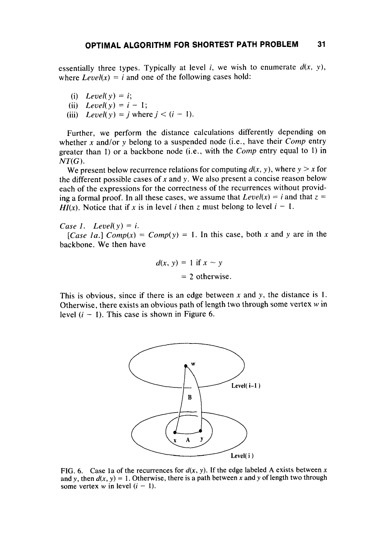essentially three types. Typically at level *i*, we wish to enumerate  $d(x, y)$ , where  $Level(x) = i$  and one of the following cases hold:

(i) *Level(y) = i;* (i) Level(y) = *i*;<br>(ii) Level(y) = *i* - 1; (ii)  $Level(y) = i - 1;$ <br> *(iii)*  $Level(y) = j$  where  $j < (i - 1)$ .

Further, we perform the distance calculations differently depending on whether *x* and/or y belong to a suspended node (i.e., have their *Comp* entry greater than 1) or a backbone node (i.e., with the *Cornp* entry equal to 1) in *NT(G).* 

We present below recurrence relations for computing  $d(x, y)$ , where  $y > x$  for the different possible cases of *x* and *y.* We also present a concise reason below each of the expressions for the correctness of the recurrences without providing a formal proof. In all these cases, we assume that  $Level(x) = i$  and that  $z =$ *HI(x).* Notice that if x is in level i then z must belong to level  $i - 1$ .

*Case 1. Level(y) = i.* backbone. We then have [*Case la.*]  $Comp(x) = Comp(y) = 1$ . In this case, both *x* and *y* are in the

$$
d(x, y) = 1 \text{ if } x \sim y
$$
  
= 2 otherwise.

This **is** obvious, since if there is an edge between *x* and *y,* the distance is **1.**  Otherwise, there exists an obvious path of length two through some vertex  $w$  in level  $(i - 1)$ . This case is shown in Figure 6.



**FIG. 6.** Case 1a of the recurrences for  $d(x, y)$ . If the edge labeled A exists between x and *y*, then  $d(x, y) = 1$ . Otherwise, there is a path between *x* and *y* of length two through some vertex  $w$  in level  $(i - 1)$ .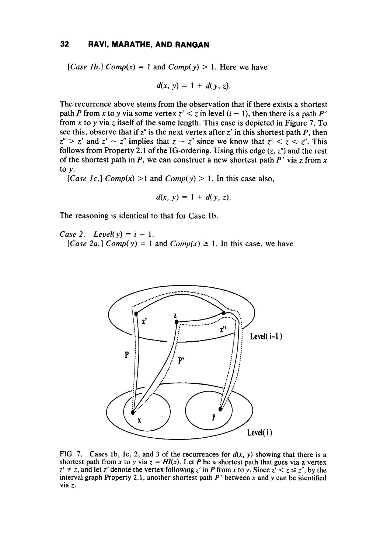# **32 RAW, MARATHE, AND RANGAN**

[*Case 1b.*]  $Comp(x) = 1$  and  $Comp(y) > 1$ . Here we have

$$
d(x, y) = 1 + d(y, z).
$$

The recurrence above stems from the observation that if there exists a shortest path P from x to y via some vertex  $z' < z$  in level  $(i - 1)$ , then there is a path P' from *x* to *y* via z itself of the same length. This case is depicted in Figure 7. To see this, observe that if  $z<sup>n</sup>$  is the next vertex after  $z<sup>i</sup>$  in this shortest path *P*, then  $z'' > z'$  and  $z' \sim z''$  implies that  $z \sim z''$  since we know that  $z' < z < z''$ . This follows from Property 2.1 of the IG-ordering. Using this edge  $(z, z<sup>n</sup>)$  and the rest of the shortest path in  $P$ , we can construct a new shortest path  $P'$  via z from  $x$ to *y.* 

[*Case 1c.*]  $Comp(x) > 1$  and  $Comp(y) > 1$ . In this case also,

$$
d(x, y) = 1 + d(y, z).
$$

The reasoning is identical to that for Case lb.

*Case 2. Level(y)* =  $i - 1$ . [*Case 2a.*]  $Comp(y) = 1$  and  $Comp(x) \ge 1$ . In this case, we have



FIG. 7. Cases 1b, 1c, 2, and 3 of the recurrences for  $d(x, y)$  showing that there is a shortest path from *x* to *y* via  $z = HI(x)$ . Let *P* be a shortest path that goes via a vertex  $z' \neq z$ , and let  $z''$  denote the vertex f shortest path from *x* to *y* via  $z = HI(x)$ . Let *P* be a shortest path that goes via a vertex  $z' \neq z$ , and let  $z''$  denote the vertex following  $z'$  in *P* from *x* to *y*. Since  $z' < z \leq z''$ , by the interval graph Property 2.1, another shortest path *P'* between *x* and y can be identified via *z.*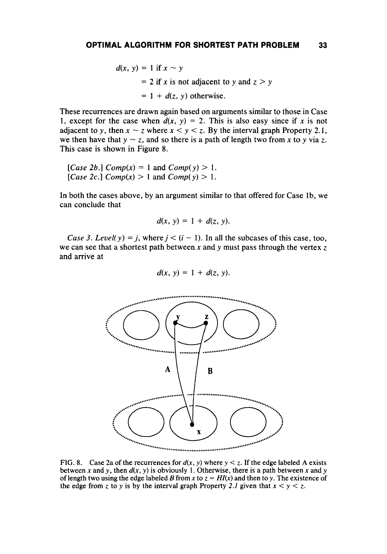$d(x, y) = 1$  if  $x \sim y$  $= 2$  if *x* is not adjacent to *y* and  $z > y$  $= 1 + d(z, y)$  otherwise.

These recurrences are drawn again based on arguments similar to those in Case 1, except for the case when  $d(x, y) = 2$ . This is also easy since if *x* is not adjacent to y, then  $x \sim z$  where  $x \le y \le z$ . By the interval graph Property 2.1, we then have that  $y \sim z$ , and so there is a path of length two from x to y via z. This case is shown in Figure 8.

[Case 2b.] 
$$
Comp(x) = 1
$$
 and  $Comp(y) > 1$ .  
[Case 2c.]  $Comp(x) > 1$  and  $Comp(y) > 1$ .

In both the cases above, by an argument similar to that offered for Case lb, we can conclude that

$$
d(x, y) = 1 + d(z, y).
$$

*Case 3. Level(y)* = *j*, where  $j < (i - 1)$ . In all the subcases of this case, too, we can see that a shortest path between *x* and y must pass through the vertex *z*  and arrive at

$$
d(x, y) = 1 + d(z, y).
$$



FIG. 8. Case 2a of the recurrences for  $d(x, y)$  where  $y < z$ . If the edge labeled A exists between x and y, then  $d(x, y)$  is obviously 1. Otherwise, there is a path between x and y of length two using the edge labeled B from x to  $z = H(x)$  and then to y. The existence of the edge from z to y is by the interval graph Property 2.1 given that  $x < y < z$ .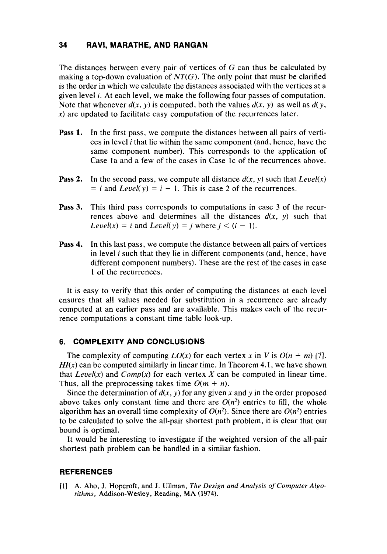# **34 RAVI, MARATHE, AND RANGAN**

The distances between every pair of vertices of G can thus be calculated by making a top-down evaluation of  $NT(G)$ . The only point that must be clarified is the order in which we calculate the distances associated with the vertices at a given level *i.* At each level, we make the following four passes of computation. Note that whenever  $d(x, y)$  is computed, both the values  $d(x, y)$  as well as  $d(y, y)$ **x)** are updated to facilitate easy computation of the recurrences later.

- **Pass 1.** In the first pass, we compute the distances between all pairs of vertices in level i that lie within the same component (and, hence, have the same component number). This corresponds to the application of Case la and a few of the cases in Case lc of the recurrences above.
- **Pass 2.** In the second pass, we compute all distance  $d(x, y)$  such that *Level(x)*  $= i$  and *Level(y)*  $= i - 1$ . This is case 2 of the recurrences.
- **Pass 3.** This third pass corresponds to computations in case *3* of the recurrences above and determines all the distances  $d(x, y)$  such that  $Level(x) = i$  and  $Level(y) = j$  where  $j < (i - 1)$ .
- **Pass 4.** In this last pass, we compute the distance between all pairs of vertices in level i such that they lie in different components (and, hence, have different component numbers). These are the rest of the cases in case 1 of the recurrences.

It is easy to verify that this order **of** computing the distances at each level ensures that all values needed for substitution in a recurrence are already computed at an earlier pass and are available. This makes each **of** the recurrence computations a constant time table look-up.

### **6. COMPLEXITY AND CONCLUSIONS**

The complexity of computing  $LO(x)$  for each vertex x in V is  $O(n + m)$  [7].  $H(x)$  can be computed similarly in linear time. In Theorem 4.1, we have shown that *Level(x)* and *Comp(x)* for each vertex *X* can be computed in linear time. Thus, all the preprocessing takes time  $O(m + n)$ .

Since the determination of  $d(x, y)$  for any given x and y in the order proposed above takes only constant time and there are  $O(n^2)$  entries to fill, the whole algorithm has an overall time complexity of  $O(n^2)$ . Since there are  $O(n^2)$  entries to be calculated to solve the all-pair shortest path problem, it is clear that our bound is optimal.

It would be interesting to investigate if the weighted version of the all-pair shortest path problem can be handled in a similar fashion.

#### **REFERENCES**

**[I] A.** Aho, J. Hopcroft, and J. Ullman, *The Design and Analysis* of *Computer Algorithms,* Addison-Wesley, Reading, MA (1974).